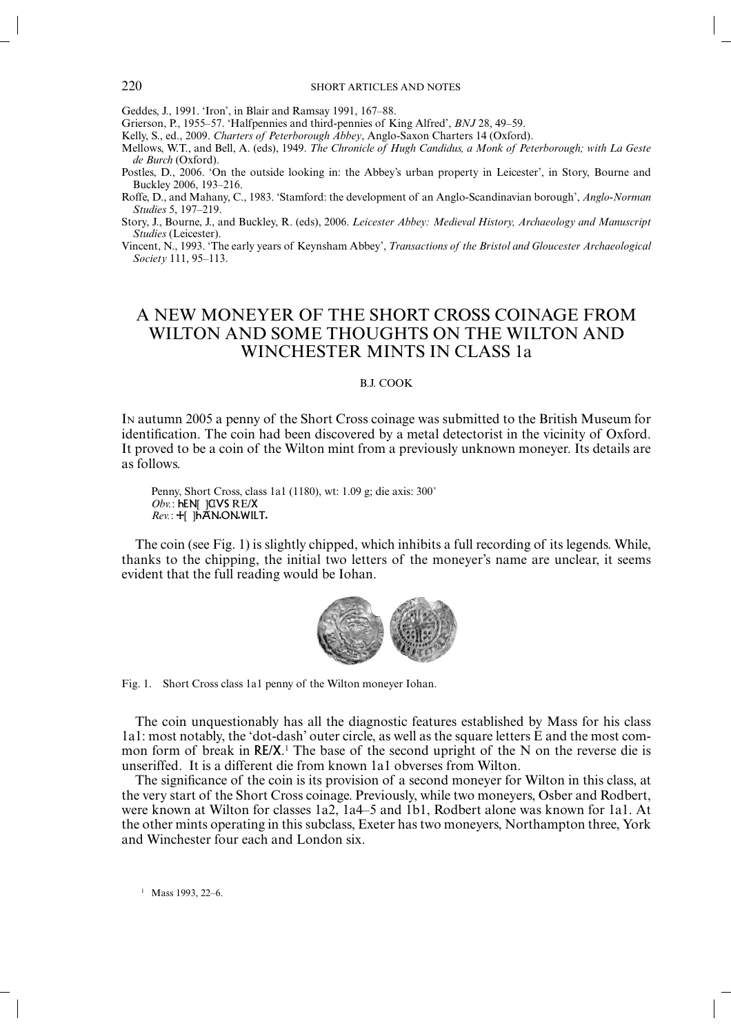### 220 SHORT ARTICLES AND NOTES

Geddes, J., 1991. 'Iron', in Blair and Ramsay 1991, 167–88.

Grierson, P., 1955–57. 'Halfpennies and third-pennies of King Alfred', *BNJ* 28, 49–59.

Kelly, S., ed., 2009. *Charters of Peterborough Abbey*, Anglo-Saxon Charters 14 (Oxford).

Mellows, W.T., and Bell, A. (eds), 1949. *The Chronicle of Hugh Candidus, a Monk of Peterborough; with La Geste de Burch* (Oxford).

Postles, D., 2006. 'On the outside looking in: the Abbey's urban property in Leicester', in Story, Bourne and Buckley 2006, 193–216.

Roffe, D., and Mahany, C., 1983. 'Stamford: the development of an Anglo-Scandinavian borough', *Anglo-Norman Studies* 5, 197–219.

Story, J., Bourne, J., and Buckley, R. (eds), 2006. *Leicester Abbey: Medieval History, Archaeology and Manuscript Studies* (Leicester).

Vincent, N., 1993. 'The early years of Keynsham Abbey', *Transactions of the Bristol and Gloucester Archaeological Society* 111, 95–113.

# A NEW MONEYER OF THE SHORT CROSS COINAGE FROM WILTON AND SOME THOUGHTS ON THE WILTON AND WINCHESTER MINTS IN CLASS 1a

## B.J. COOK

IN autumn 2005 a penny of the Short Cross coinage was submitted to the British Museum for identification. The coin had been discovered by a metal detectorist in the vicinity of Oxford. It proved to be a coin of the Wilton mint from a previously unknown moneyer. Its details are as follows.

Penny, Short Cross, class 1a1 (1180), wt: 1.09 g; die axis: 300˚ *Obv.*: **hEN[ ]CVS RE/X** *Rev.*: +[ ]haN.ON.WILT.

The coin (see Fig. 1) is slightly chipped, which inhibits a full recording of its legends. While, thanks to the chipping, the initial two letters of the moneyer's name are unclear, it seems evident that the full reading would be Iohan.



Fig. 1. Short Cross class 1a1 penny of the Wilton moneyer Iohan.

The coin unquestionably has all the diagnostic features established by Mass for his class 1a1: most notably, the 'dot-dash' outer circle, as well as the square letters E and the most common form of break in  $RE/X$ .<sup>1</sup> The base of the second upright of the N on the reverse die is unseriffed. It is a different die from known 1a1 obverses from Wilton.

The significance of the coin is its provision of a second moneyer for Wilton in this class, at the very start of the Short Cross coinage. Previously, while two moneyers, Osber and Rodbert, were known at Wilton for classes 1a2, 1a4–5 and 1b1, Rodbert alone was known for 1a1. At the other mints operating in this subclass, Exeter has two moneyers, Northampton three, York and Winchester four each and London six.

<sup>1</sup> Mass 1993, 22–6.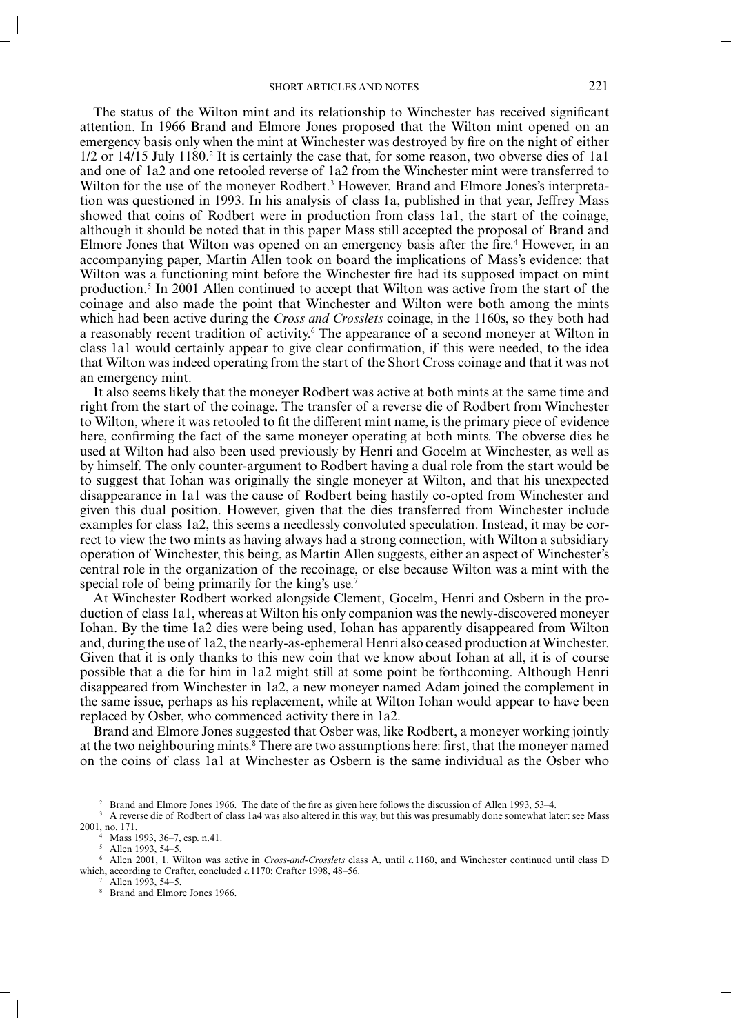### SHORT ARTICLES AND NOTES 221

The status of the Wilton mint and its relationship to Winchester has received significant attention. In 1966 Brand and Elmore Jones proposed that the Wilton mint opened on an emergency basis only when the mint at Winchester was destroyed by fire on the night of either 1/2 or 14/15 July 1180.<sup>2</sup> It is certainly the case that, for some reason, two obverse dies of 1a1 and one of 1a2 and one retooled reverse of 1a2 from the Winchester mint were transferred to Wilton for the use of the moneyer Rodbert.<sup>3</sup> However, Brand and Elmore Jones's interpretation was questioned in 1993. In his analysis of class 1a, published in that year, Jeffrey Mass showed that coins of Rodbert were in production from class 1a1, the start of the coinage, although it should be noted that in this paper Mass still accepted the proposal of Brand and Elmore Jones that Wilton was opened on an emergency basis after the fire.<sup>4</sup> However, in an accompanying paper, Martin Allen took on board the implications of Mass's evidence: that Wilton was a functioning mint before the Winchester fire had its supposed impact on mint production.<sup>5</sup> In 2001 Allen continued to accept that Wilton was active from the start of the coinage and also made the point that Winchester and Wilton were both among the mints which had been active during the *Cross and Crosslets* coinage, in the 1160s, so they both had a reasonably recent tradition of activity.<sup>6</sup> The appearance of a second moneyer at Wilton in class 1a1 would certainly appear to give clear confirmation, if this were needed, to the idea that Wilton was indeed operating from the start of the Short Cross coinage and that it was not an emergency mint.

It also seems likely that the moneyer Rodbert was active at both mints at the same time and right from the start of the coinage. The transfer of a reverse die of Rodbert from Winchester to Wilton, where it was retooled to fit the different mint name, is the primary piece of evidence here, confirming the fact of the same moneyer operating at both mints. The obverse dies he used at Wilton had also been used previously by Henri and Gocelm at Winchester, as well as by himself. The only counter-argument to Rodbert having a dual role from the start would be to suggest that Iohan was originally the single moneyer at Wilton, and that his unexpected disappearance in 1a1 was the cause of Rodbert being hastily co-opted from Winchester and given this dual position. However, given that the dies transferred from Winchester include examples for class 1a2, this seems a needlessly convoluted speculation. Instead, it may be correct to view the two mints as having always had a strong connection, with Wilton a subsidiary operation of Winchester, this being, as Martin Allen suggests, either an aspect of Winchester's central role in the organization of the recoinage, or else because Wilton was a mint with the special role of being primarily for the king's use.7

At Winchester Rodbert worked alongside Clement, Gocelm, Henri and Osbern in the production of class 1a1, whereas at Wilton his only companion was the newly-discovered moneyer Iohan. By the time 1a2 dies were being used, Iohan has apparently disappeared from Wilton and, during the use of 1a2, the nearly-as-ephemeral Henri also ceased production at Winchester. Given that it is only thanks to this new coin that we know about Iohan at all, it is of course possible that a die for him in 1a2 might still at some point be forthcoming. Although Henri disappeared from Winchester in 1a2, a new moneyer named Adam joined the complement in the same issue, perhaps as his replacement, while at Wilton Iohan would appear to have been replaced by Osber, who commenced activity there in 1a2.

Brand and Elmore Jones suggested that Osber was, like Rodbert, a moneyer working jointly at the two neighbouring mints.<sup>8</sup> There are two assumptions here: first, that the moneyer named on the coins of class 1a1 at Winchester as Osbern is the same individual as the Osber who

7 Allen 1993, 54–5.

8 Brand and Elmore Jones 1966.

<sup>2</sup> Brand and Elmore Jones 1966. The date of the fire as given here follows the discussion of Allen 1993, 53–4.

<sup>&</sup>lt;sup>3</sup> A reverse die of Rodbert of class 1a4 was also altered in this way, but this was presumably done somewhat later: see Mass 2001, no. 171. 4

 $4$  Mass 1993, 36–7, esp. n.41.

<sup>5</sup> Allen 1993, 54–5.

<sup>6</sup> Allen 2001, 1. Wilton was active in *Cross-and-Crosslets* class A, until *c.*1160, and Winchester continued until class D which, according to Crafter, concluded *c.*1170: Crafter 1998, 48–56.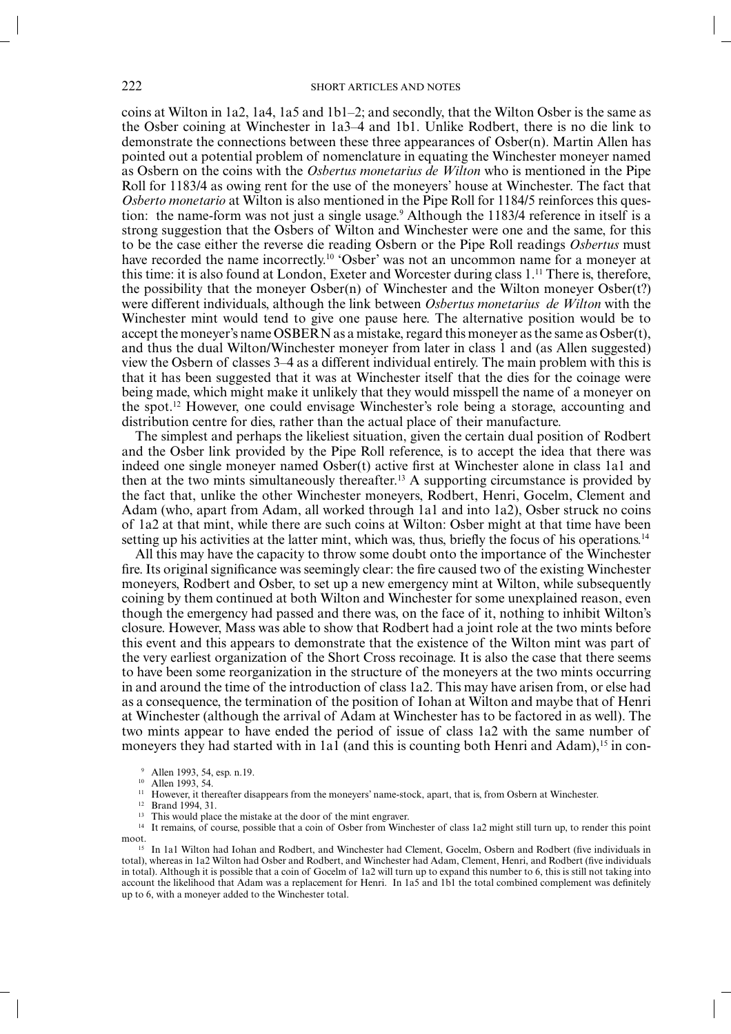coins at Wilton in 1a2, 1a4, 1a5 and 1b1–2; and secondly, that the Wilton Osber is the same as the Osber coining at Winchester in 1a3–4 and 1b1. Unlike Rodbert, there is no die link to demonstrate the connections between these three appearances of Osber(n). Martin Allen has pointed out a potential problem of nomenclature in equating the Winchester moneyer named as Osbern on the coins with the *Osbertus monetarius de Wilton* who is mentioned in the Pipe Roll for 1183/4 as owing rent for the use of the moneyers' house at Winchester. The fact that *Osberto monetario* at Wilton is also mentioned in the Pipe Roll for 1184/5 reinforces this question: the name-form was not just a single usage.<sup>9</sup> Although the 1183/4 reference in itself is a strong suggestion that the Osbers of Wilton and Winchester were one and the same, for this to be the case either the reverse die reading Osbern or the Pipe Roll readings *Osbertus* must have recorded the name incorrectly.<sup>10</sup> 'Osber' was not an uncommon name for a moneyer at this time: it is also found at London, Exeter and Worcester during class 1.11 There is, therefore, the possibility that the moneyer Osber(n) of Winchester and the Wilton moneyer Osber(t?) were different individuals, although the link between *Osbertus monetarius de Wilton* with the Winchester mint would tend to give one pause here. The alternative position would be to accept the moneyer's name OSBERN as a mistake, regard this moneyer as the same as Osber(t), and thus the dual Wilton/Winchester moneyer from later in class 1 and (as Allen suggested) view the Osbern of classes 3–4 as a different individual entirely. The main problem with this is that it has been suggested that it was at Winchester itself that the dies for the coinage were being made, which might make it unlikely that they would misspell the name of a moneyer on the spot.12 However, one could envisage Winchester's role being a storage, accounting and distribution centre for dies, rather than the actual place of their manufacture.

The simplest and perhaps the likeliest situation, given the certain dual position of Rodbert and the Osber link provided by the Pipe Roll reference, is to accept the idea that there was indeed one single moneyer named Osber(t) active first at Winchester alone in class 1a1 and then at the two mints simultaneously thereafter.<sup>13</sup> A supporting circumstance is provided by the fact that, unlike the other Winchester moneyers, Rodbert, Henri, Gocelm, Clement and Adam (who, apart from Adam, all worked through 1a1 and into 1a2), Osber struck no coins of 1a2 at that mint, while there are such coins at Wilton: Osber might at that time have been setting up his activities at the latter mint, which was, thus, briefly the focus of his operations.<sup>14</sup>

All this may have the capacity to throw some doubt onto the importance of the Winchester fire. Its original significance was seemingly clear: the fire caused two of the existing Winchester moneyers, Rodbert and Osber, to set up a new emergency mint at Wilton, while subsequently coining by them continued at both Wilton and Winchester for some unexplained reason, even though the emergency had passed and there was, on the face of it, nothing to inhibit Wilton's closure. However, Mass was able to show that Rodbert had a joint role at the two mints before this event and this appears to demonstrate that the existence of the Wilton mint was part of the very earliest organization of the Short Cross recoinage. It is also the case that there seems to have been some reorganization in the structure of the moneyers at the two mints occurring in and around the time of the introduction of class 1a2. This may have arisen from, or else had as a consequence, the termination of the position of Iohan at Wilton and maybe that of Henri at Winchester (although the arrival of Adam at Winchester has to be factored in as well). The two mints appear to have ended the period of issue of class 1a2 with the same number of moneyers they had started with in 1a1 (and this is counting both Henri and Adam),<sup>15</sup> in con-

11 However, it thereafter disappears from the moneyers' name-stock, apart, that is, from Osbern at Winchester.

12 Brand 1994, 31.

<sup>13</sup> This would place the mistake at the door of the mint engraver.

It remains, of course, possible that a coin of Osber from Winchester of class 1a2 might still turn up, to render this point  $\begin{array}{c}\n\text{moot.} \\
15\n\end{array}$ 

In 1a1 Wilton had Iohan and Rodbert, and Winchester had Clement, Gocelm, Osbern and Rodbert (five individuals in total), whereas in 1a2 Wilton had Osber and Rodbert, and Winchester had Adam, Clement, Henri, and Rodbert (five individuals in total). Although it is possible that a coin of Gocelm of 1a2 will turn up to expand this number to 6, this is still not taking into account the likelihood that Adam was a replacement for Henri. In 1a5 and 1b1 the total combined complement was definitely up to 6, with a moneyer added to the Winchester total.

<sup>9</sup> Allen 1993, 54, esp. n.19.

<sup>10</sup> Allen 1993, 54.